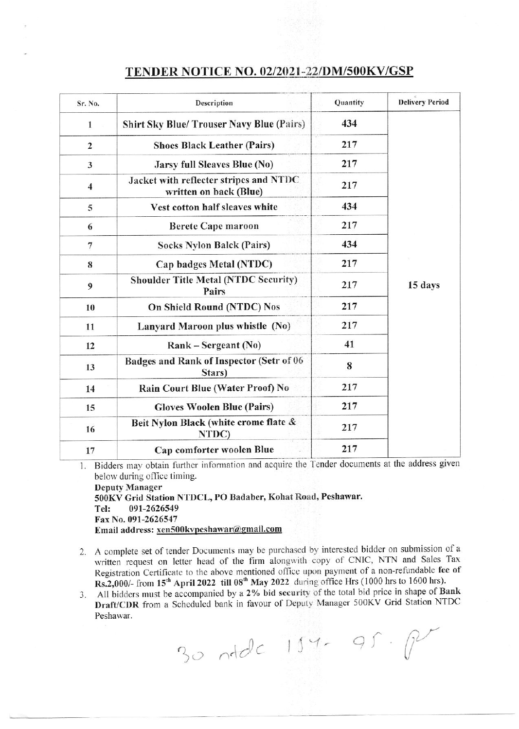## TENDER NOTICE NO. 02/2021-22/DM/500KV/GSP

| Sr. No.                 | Description                                                      | Quantity | <b>Delivery Period</b> |
|-------------------------|------------------------------------------------------------------|----------|------------------------|
| 1                       | <b>Shirt Sky Blue/ Trouser Navy Blue (Pairs)</b>                 | 434      | 15 days                |
| $\overline{2}$          | <b>Shoes Black Leather (Pairs)</b>                               | 217      |                        |
| 3                       | <b>Jarsy full Sleaves Blue (No)</b>                              | 217      |                        |
| $\overline{\mathbf{4}}$ | Jacket with reflecter stripes and NTDC<br>written on back (Blue) | 217      |                        |
| 5                       | Vest cotton half sleaves white                                   | 434      |                        |
| 6                       | <b>Berete Cape maroon</b>                                        | 217      |                        |
| $\overline{7}$          | <b>Socks Nylon Balck (Pairs)</b>                                 | 434      |                        |
| 8                       | Cap badges Metal (NTDC)                                          | 217      |                        |
| 9                       | <b>Shoulder Title Metal (NTDC Security)</b><br>Pairs             | 217      |                        |
| 10                      | <b>On Shield Round (NTDC) Nos</b>                                | 217      |                        |
| 11                      | Lanyard Maroon plus whistle (No)                                 | 217      |                        |
| 12                      | $Rank -$ Sergeant (No)                                           | 41       |                        |
| 13                      | Badges and Rank of Inspector (Setr of 06<br>Stars)               | 8        |                        |
| 14                      | Rain Court Blue (Water Proof) No                                 | 217      |                        |
| 15                      | <b>Gloves Woolen Blue (Pairs)</b>                                | 217      |                        |
| 16                      | Beit Nylon Black (white crome flate &<br>NTDC)                   | 217      |                        |
| 17                      | Cap comforter woolen Blue                                        | 217      |                        |

Bidders may obtain further information and acquire the Tender documents at the address given  $1.$ below during office timing.

**Deputy Manager** 500KV Grid Station NTDCL, PO Badaber, Kohat Road, Peshawar. Tel: 091-2626549 Fax No. 091-2626547 Email address: xen500kvpeshawar@gmail.com

- 2. A complete set of tender Documents may be purchased by interested bidder on submission of a written request on letter head of the firm alongwith copy of CNIC, NTN and Sales Tax Registration Certificate to the above mentioned office upon payment of a non-refundable fee of Rs.2,000/- from 15<sup>th</sup> April 2022 till 08<sup>th</sup> May 2022 during office Hrs (1000 hrs to 1600 hrs).
- All bidders must be accompanied by a 2% bid security of the total bid price in shape of Bank  $3.$ Draft/CDR from a Scheduled bank in favour of Deputy Manager 500KV Grid Station NTDC Peshawar.

30 ntdc 154-95. P